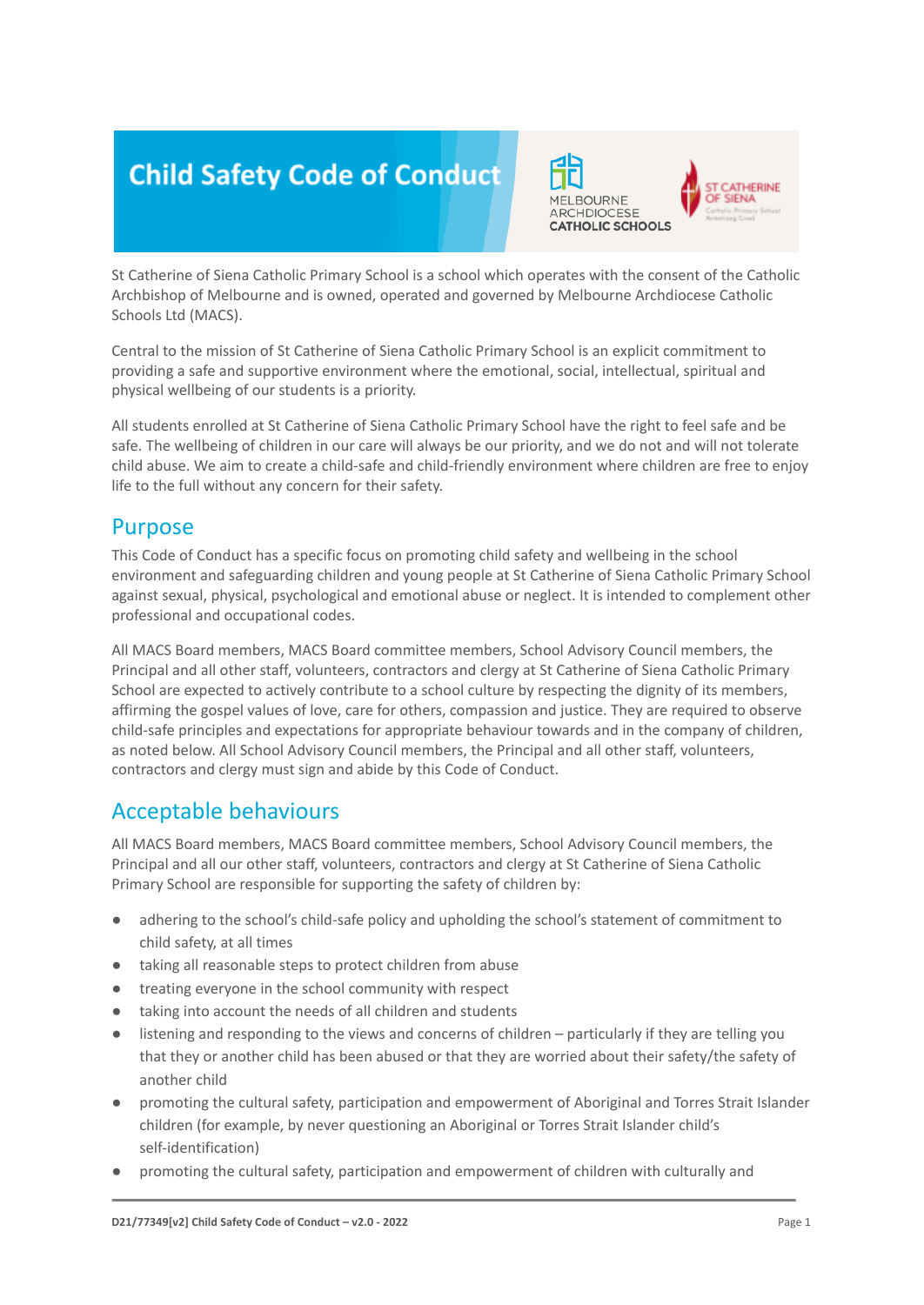# **Child Safety Code of Conduct**



St Catherine of Siena Catholic Primary School is a school which operates with the consent of the Catholic Archbishop of Melbourne and is owned, operated and governed by Melbourne Archdiocese Catholic Schools Ltd (MACS).

Central to the mission of St Catherine of Siena Catholic Primary School is an explicit commitment to providing a safe and supportive environment where the emotional, social, intellectual, spiritual and physical wellbeing of our students is a priority.

All students enrolled at St Catherine of Siena Catholic Primary School have the right to feel safe and be safe. The wellbeing of children in our care will always be our priority, and we do not and will not tolerate child abuse. We aim to create a child-safe and child-friendly environment where children are free to enjoy life to the full without any concern for their safety.

#### Purpose

This Code of Conduct has a specific focus on promoting child safety and wellbeing in the school environment and safeguarding children and young people at St Catherine of Siena Catholic Primary School against sexual, physical, psychological and emotional abuse or neglect. It is intended to complement other professional and occupational codes.

All MACS Board members, MACS Board committee members, School Advisory Council members, the Principal and all other staff, volunteers, contractors and clergy at St Catherine of Siena Catholic Primary School are expected to actively contribute to a school culture by respecting the dignity of its members, affirming the gospel values of love, care for others, compassion and justice. They are required to observe child-safe principles and expectations for appropriate behaviour towards and in the company of children, as noted below. All School Advisory Council members, the Principal and all other staff, volunteers, contractors and clergy must sign and abide by this Code of Conduct.

# Acceptable behaviours

All MACS Board members, MACS Board committee members, School Advisory Council members, the Principal and all our other staff, volunteers, contractors and clergy at St Catherine of Siena Catholic Primary School are responsible for supporting the safety of children by:

- adhering to the school's child-safe policy and upholding the school's statement of commitment to child safety, at all times
- taking all reasonable steps to protect children from abuse
- treating everyone in the school community with respect
- taking into account the needs of all children and students
- listening and responding to the views and concerns of children particularly if they are telling you that they or another child has been abused or that they are worried about their safety/the safety of another child
- promoting the cultural safety, participation and empowerment of Aboriginal and Torres Strait Islander children (for example, by never questioning an Aboriginal or Torres Strait Islander child's self-identification)
- promoting the cultural safety, participation and empowerment of children with culturally and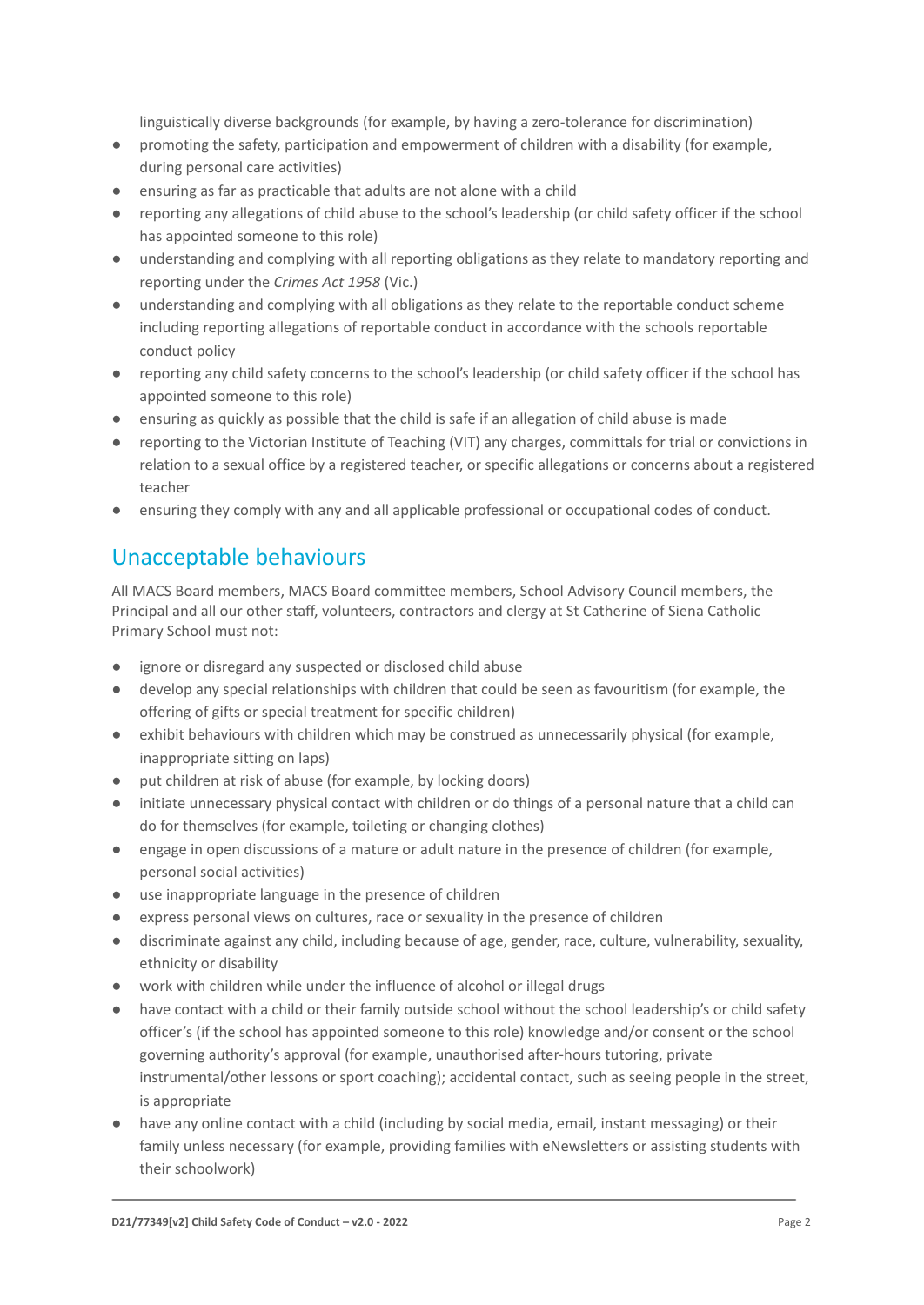linguistically diverse backgrounds (for example, by having a zero-tolerance for discrimination)

- promoting the safety, participation and empowerment of children with a disability (for example, during personal care activities)
- ensuring as far as practicable that adults are not alone with a child
- reporting any allegations of child abuse to the school's leadership (or child safety officer if the school has appointed someone to this role)
- understanding and complying with all reporting obligations as they relate to mandatory reporting and reporting under the *Crimes Act 1958* (Vic.)
- understanding and complying with all obligations as they relate to the reportable conduct scheme including reporting allegations of reportable conduct in accordance with the schools reportable conduct policy
- reporting any child safety concerns to the school's leadership (or child safety officer if the school has appointed someone to this role)
- ensuring as quickly as possible that the child is safe if an allegation of child abuse is made
- reporting to the Victorian Institute of Teaching (VIT) any charges, committals for trial or convictions in relation to a sexual office by a registered teacher, or specific allegations or concerns about a registered teacher
- ensuring they comply with any and all applicable professional or occupational codes of conduct.

# Unacceptable behaviours

All MACS Board members, MACS Board committee members, School Advisory Council members, the Principal and all our other staff, volunteers, contractors and clergy at St Catherine of Siena Catholic Primary School must not:

- ignore or disregard any suspected or disclosed child abuse
- develop any special relationships with children that could be seen as favouritism (for example, the offering of gifts or special treatment for specific children)
- exhibit behaviours with children which may be construed as unnecessarily physical (for example, inappropriate sitting on laps)
- put children at risk of abuse (for example, by locking doors)
- initiate unnecessary physical contact with children or do things of a personal nature that a child can do for themselves (for example, toileting or changing clothes)
- engage in open discussions of a mature or adult nature in the presence of children (for example, personal social activities)
- use inappropriate language in the presence of children
- express personal views on cultures, race or sexuality in the presence of children
- discriminate against any child, including because of age, gender, race, culture, vulnerability, sexuality, ethnicity or disability
- work with children while under the influence of alcohol or illegal drugs
- have contact with a child or their family outside school without the school leadership's or child safety officer's (if the school has appointed someone to this role) knowledge and/or consent or the school governing authority's approval (for example, unauthorised after-hours tutoring, private instrumental/other lessons or sport coaching); accidental contact, such as seeing people in the street, is appropriate
- have any online contact with a child (including by social media, email, instant messaging) or their family unless necessary (for example, providing families with eNewsletters or assisting students with their schoolwork)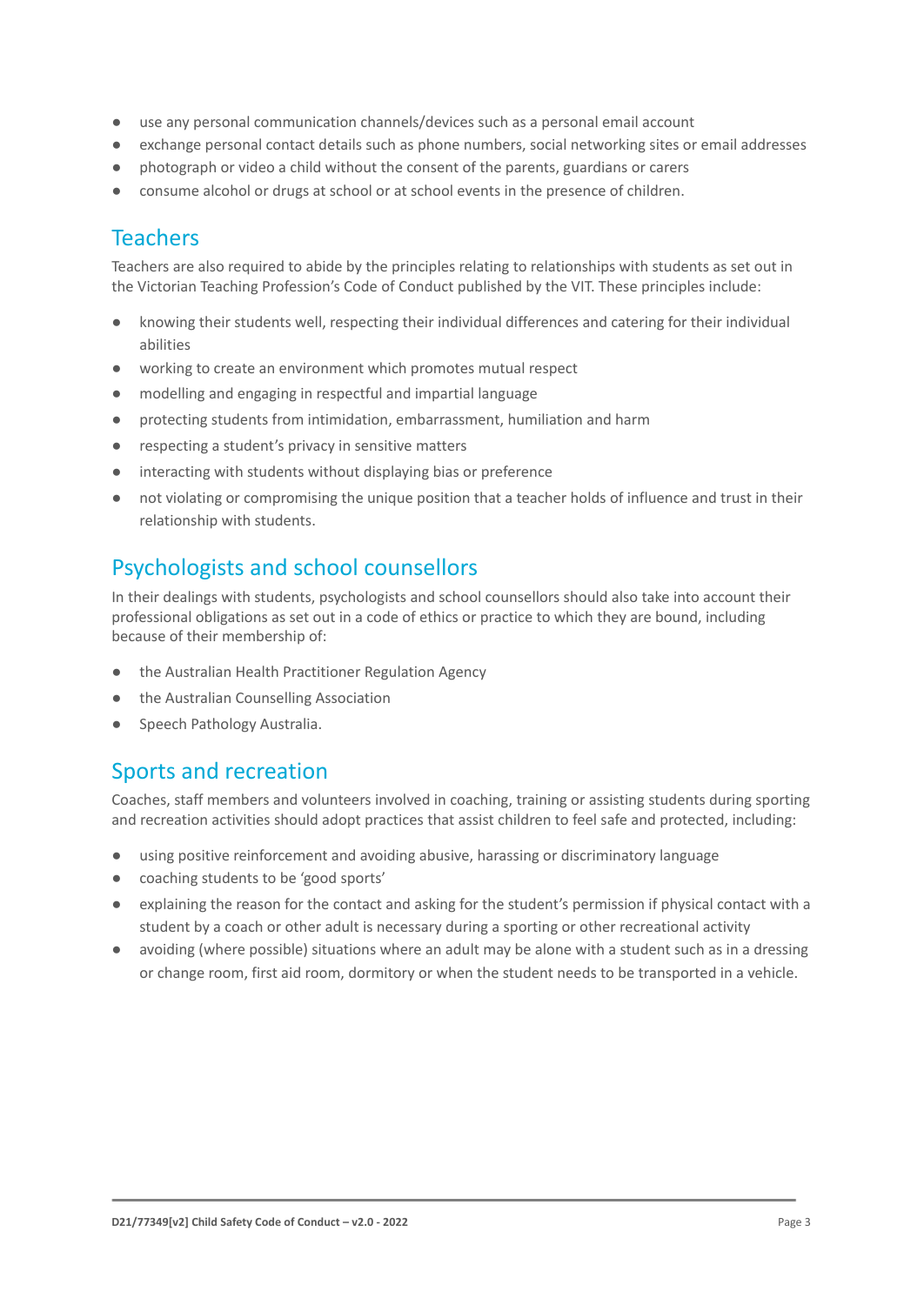- use any personal communication channels/devices such as a personal email account
- exchange personal contact details such as phone numbers, social networking sites or email addresses
- photograph or video a child without the consent of the parents, guardians or carers
- consume alcohol or drugs at school or at school events in the presence of children.

### Teachers

Teachers are also required to abide by the principles relating to relationships with students as set out in the Victorian Teaching Profession's Code of Conduct published by the VIT. These principles include:

- knowing their students well, respecting their individual differences and catering for their individual abilities
- working to create an environment which promotes mutual respect
- modelling and engaging in respectful and impartial language
- protecting students from intimidation, embarrassment, humiliation and harm
- respecting a student's privacy in sensitive matters
- interacting with students without displaying bias or preference
- not violating or compromising the unique position that a teacher holds of influence and trust in their relationship with students.

# Psychologists and school counsellors

In their dealings with students, psychologists and school counsellors should also take into account their professional obligations as set out in a code of ethics or practice to which they are bound, including because of their membership of:

- the Australian Health Practitioner Regulation Agency
- the Australian Counselling Association
- Speech Pathology Australia.

# Sports and recreation

Coaches, staff members and volunteers involved in coaching, training or assisting students during sporting and recreation activities should adopt practices that assist children to feel safe and protected, including:

- using positive reinforcement and avoiding abusive, harassing or discriminatory language
- coaching students to be 'good sports'
- explaining the reason for the contact and asking for the student's permission if physical contact with a student by a coach or other adult is necessary during a sporting or other recreational activity
- avoiding (where possible) situations where an adult may be alone with a student such as in a dressing or change room, first aid room, dormitory or when the student needs to be transported in a vehicle.